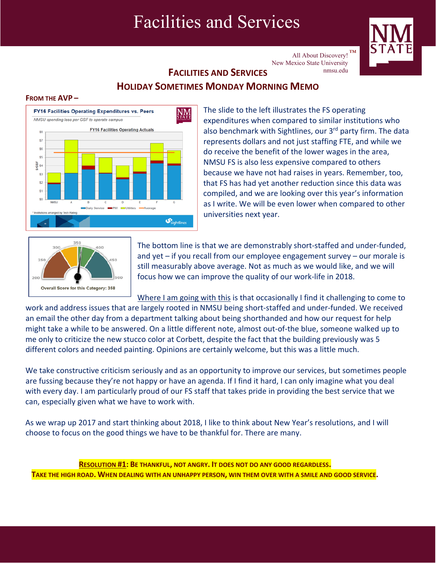# Facilities and Services



All About Discovery!  $TM$ New Mexico State University nmsu.edu

# **FACILITIES AND SERVICES HOLIDAY SOMETIMES MONDAY MORNING MEMO**

### **FROM THE AVP –**



The slide to the left illustrates the FS operating expenditures when compared to similar institutions who also benchmark with Sightlines, our 3<sup>rd</sup> party firm. The data represents dollars and not just staffing FTE, and while we do receive the benefit of the lower wages in the area, NMSU FS is also less expensive compared to others because we have not had raises in years. Remember, too, that FS has had yet another reduction since this data was compiled, and we are looking over this year's information as I write. We will be even lower when compared to other universities next year.



The bottom line is that we are demonstrably short‐staffed and under‐funded, and yet – if you recall from our employee engagement survey – our morale is still measurably above average. Not as much as we would like, and we will focus how we can improve the quality of our work‐life in 2018.

Where I am going with this is that occasionally I find it challenging to come to work and address issues that are largely rooted in NMSU being short-staffed and under-funded. We received an email the other day from a department talking about being shorthanded and how our request for help might take a while to be answered. On a little different note, almost out‐of‐the blue, someone walked up to me only to criticize the new stucco color at Corbett, despite the fact that the building previously was 5 different colors and needed painting. Opinions are certainly welcome, but this was a little much.

We take constructive criticism seriously and as an opportunity to improve our services, but sometimes people are fussing because they're not happy or have an agenda. If I find it hard, I can only imagine what you deal with every day. I am particularly proud of our FS staff that takes pride in providing the best service that we can, especially given what we have to work with.

As we wrap up 2017 and start thinking about 2018, I like to think about New Year's resolutions, and I will choose to focus on the good things we have to be thankful for. There are many.

**RESOLUTION #1: BE THANKFUL, NOT ANGRY. IT DOES NOT DO ANY GOOD REGARDLESS.** TAKE THE HIGH ROAD. WHEN DEALING WITH AN UNHAPPY PERSON, WIN THEM OVER WITH A SMILE AND GOOD SERVICE.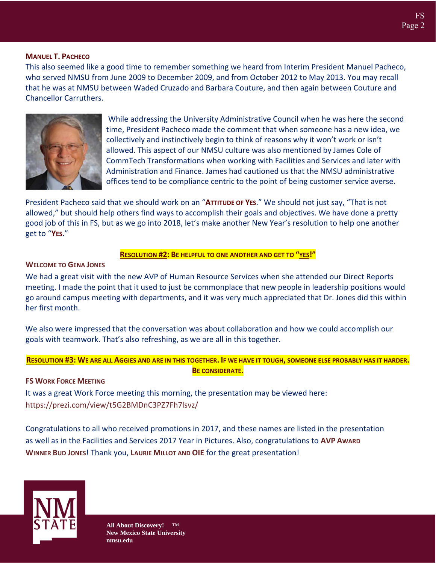# **MANUEL T. PACHECO**

This also seemed like a good time to remember something we heard from Interim President Manuel Pacheco, who served NMSU from June 2009 to December 2009, and from October 2012 to May 2013. You may recall that he was at NMSU between Waded Cruzado and Barbara Couture, and then again between Couture and Chancellor Carruthers.



While addressing the University Administrative Council when he was here the second time, President Pacheco made the comment that when someone has a new idea, we collectively and instinctively begin to think of reasons why it won't work or isn't allowed. This aspect of our NMSU culture was also mentioned by James Cole of CommTech Transformations when working with Facilities and Services and later with Administration and Finance. James had cautioned us that the NMSU administrative offices tend to be compliance centric to the point of being customer service averse.

President Pacheco said that we should work on an "**ATTITUDE OF YES**." We should not just say, "That is not allowed," but should help others find ways to accomplish their goals and objectives. We have done a pretty good job of this in FS, but as we go into 2018, let's make another New Year's resolution to help one another get to "**YES**."

#### **RESOLUTION #2: BE HELPFUL TO ONE ANOTHER AND GET TO "YES!"**

#### **WELCOME TO GENA JONES**

We had a great visit with the new AVP of Human Resource Services when she attended our Direct Reports meeting. I made the point that it used to just be commonplace that new people in leadership positions would go around campus meeting with departments, and it was very much appreciated that Dr. Jones did this within her first month.

We also were impressed that the conversation was about collaboration and how we could accomplish our goals with teamwork. That's also refreshing, as we are all in this together.

# RESOLUTION #3: WE ARE ALL AGGIES AND ARE IN THIS TOGETHER. IF WE HAVE IT TOUGH, SOMEONE ELSE PROBABLY HAS IT HARDER. **BE CONSIDERATE.**

#### **FS WORK FORCE MEETING**

It was a great Work Force meeting this morning, the presentation may be viewed here: https://prezi.com/view/t5G2BMDnC3PZ7Fh7lsvz/

Congratulations to all who received promotions in 2017, and these names are listed in the presentation as well as in the Facilities and Services 2017 Year in Pictures. Also, congratulations to **AVP AWARD WINNER BUD JONES**! Thank you, **LAURIE MILLOT AND OIE** for the great presentation!

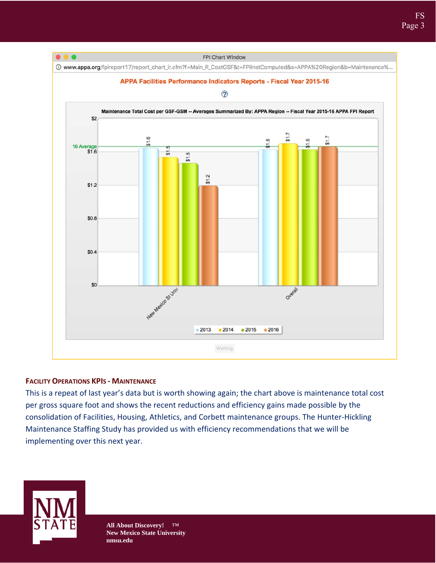

# **FACILITY OPERATIONS KPIS ‐ MAINTENANCE**

This is a repeat of last year's data but is worth showing again; the chart above is maintenance total cost per gross square foot and shows the recent reductions and efficiency gains made possible by the consolidation of Facilities, Housing, Athletics, and Corbett maintenance groups. The Hunter‐Hickling Maintenance Staffing Study has provided us with efficiency recommendations that we will be implementing over this next year.

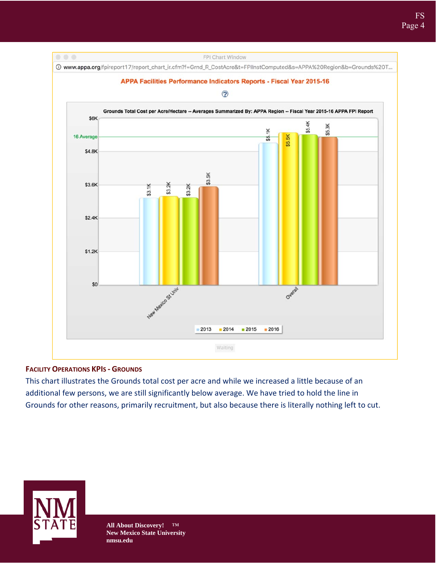

# **FACILITY OPERATIONS KPIS ‐ GROUNDS**

This chart illustrates the Grounds total cost per acre and while we increased a little because of an additional few persons, we are still significantly below average. We have tried to hold the line in Grounds for other reasons, primarily recruitment, but also because there is literally nothing left to cut.

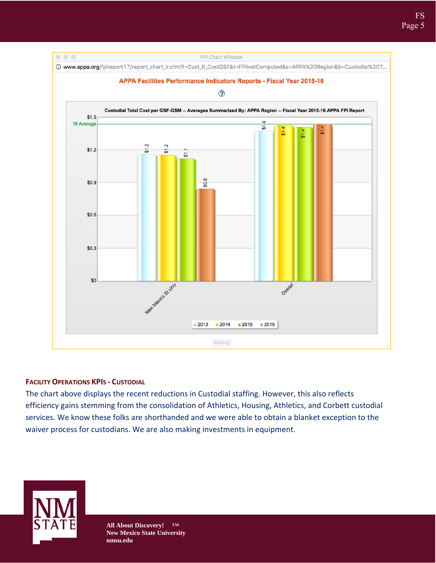

# **FACILITY OPERATIONS KPIS ‐ CUSTODIAL**

The chart above displays the recent reductions in Custodial staffing. However, this also reflects efficiency gains stemming from the consolidation of Athletics, Housing, Athletics, and Corbett custodial services. We know these folks are shorthanded and we were able to obtain a blanket exception to the waiver process for custodians. We are also making investments in equipment.

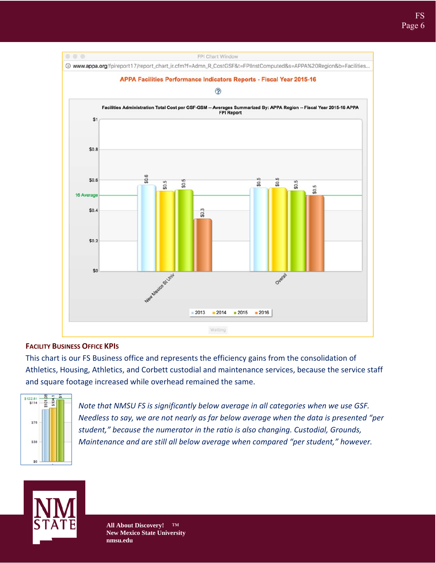

# **FACILITY BUSINESS OFFICE KPIS**

This chart is our FS Business office and represents the efficiency gains from the consolidation of Athletics, Housing, Athletics, and Corbett custodial and maintenance services, because the service staff and square footage increased while overhead remained the same.



*Note that NMSU FS is significantly below average in all categories when we use GSF. Needless to say, we are not nearly as far below average when the data is presented "per student," because the numerator in the ratio is also changing. Custodial, Grounds, Maintenance and are still all below average when compared "per student," however.*

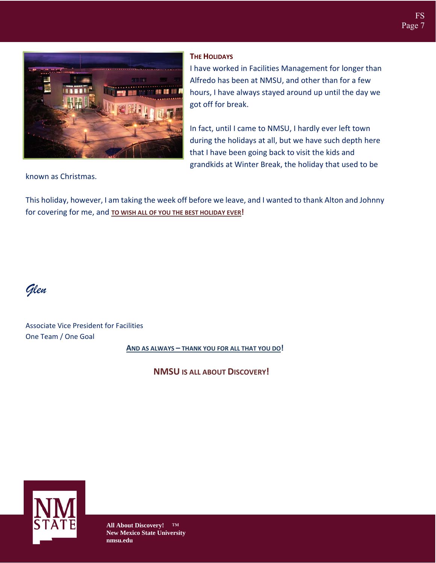

# **THE HOLIDAYS**

I have worked in Facilities Management for longer than Alfredo has been at NMSU, and other than for a few hours, I have always stayed around up until the day we got off for break.

In fact, until I came to NMSU, I hardly ever left town during the holidays at all, but we have such depth here that I have been going back to visit the kids and grandkids at Winter Break, the holiday that used to be

known as Christmas.

This holiday, however, I am taking the week off before we leave, and I wanted to thank Alton and Johnny for covering for me, and **TO WISH ALL OF YOU THE BEST HOLIDAY EVER!**

*Glen* 

Associate Vice President for Facilities One Team / One Goal

**AND AS ALWAYS – THANK YOU FOR ALL THAT YOU DO!**

**NMSU IS ALL ABOUT DISCOVERY!**